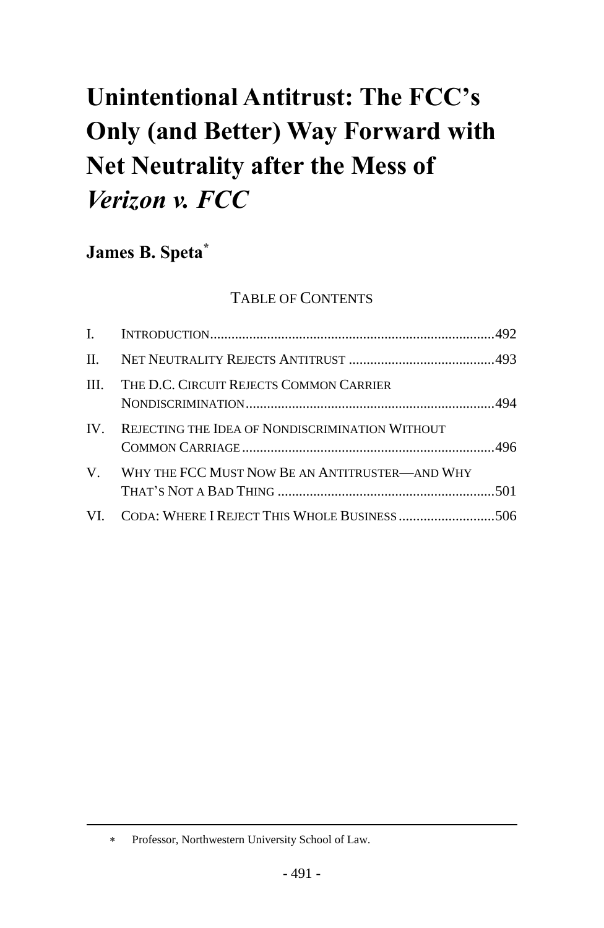# **Unintentional Antitrust: The FCC's Only (and Better) Way Forward with Net Neutrality after the Mess of** *Verizon v. FCC*

**James B. Speta\***

## TABLE OF CONTENTS

|                         | III. THE D.C. CIRCUIT REJECTS COMMON CARRIER      |  |
|-------------------------|---------------------------------------------------|--|
| $\mathbf{I} \mathbf{V}$ | REJECTING THE IDEA OF NONDISCRIMINATION WITHOUT   |  |
|                         | V. WHY THE FCC MUST NOW BE AN ANTITRUSTER—AND WHY |  |
|                         | VI. CODA: WHERE I REJECT THIS WHOLE BUSINESS 506  |  |

Professor, Northwestern University School of Law.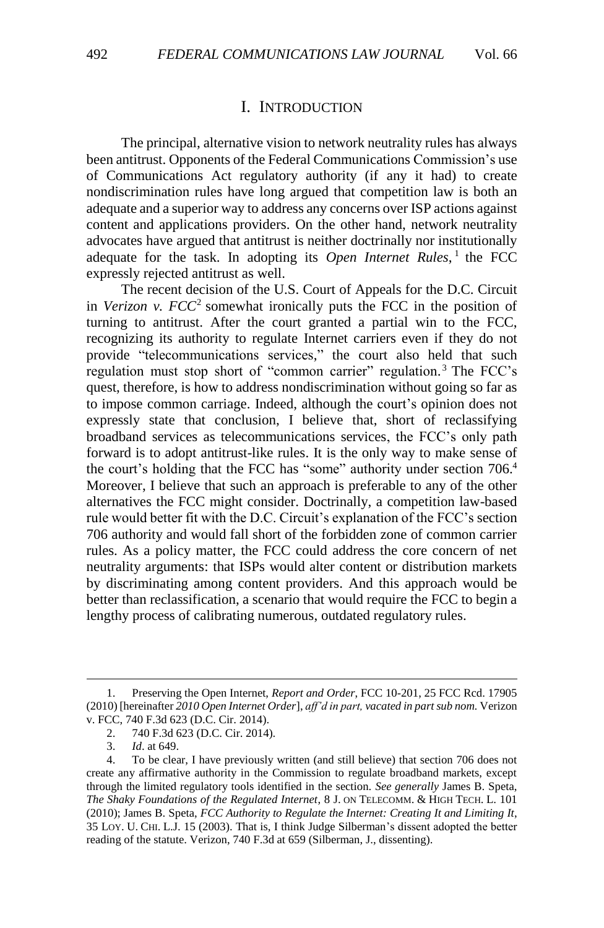#### <span id="page-1-0"></span>I. INTRODUCTION

The principal, alternative vision to network neutrality rules has always been antitrust. Opponents of the Federal Communications Commission's use of Communications Act regulatory authority (if any it had) to create nondiscrimination rules have long argued that competition law is both an adequate and a superior way to address any concerns over ISP actions against content and applications providers. On the other hand, network neutrality advocates have argued that antitrust is neither doctrinally nor institutionally adequate for the task. In adopting its Open Internet Rules,<sup>1</sup> the FCC expressly rejected antitrust as well.

The recent decision of the U.S. Court of Appeals for the D.C. Circuit in *Verizon* v.  $FCC^2$  somewhat ironically puts the FCC in the position of turning to antitrust. After the court granted a partial win to the FCC, recognizing its authority to regulate Internet carriers even if they do not provide "telecommunications services," the court also held that such regulation must stop short of "common carrier" regulation. <sup>3</sup> The FCC's quest, therefore, is how to address nondiscrimination without going so far as to impose common carriage. Indeed, although the court's opinion does not expressly state that conclusion, I believe that, short of reclassifying broadband services as telecommunications services, the FCC's only path forward is to adopt antitrust-like rules. It is the only way to make sense of the court's holding that the FCC has "some" authority under section 706.<sup>4</sup> Moreover, I believe that such an approach is preferable to any of the other alternatives the FCC might consider. Doctrinally, a competition law-based rule would better fit with the D.C. Circuit's explanation of the FCC's section 706 authority and would fall short of the forbidden zone of common carrier rules. As a policy matter, the FCC could address the core concern of net neutrality arguments: that ISPs would alter content or distribution markets by discriminating among content providers. And this approach would be better than reclassification, a scenario that would require the FCC to begin a lengthy process of calibrating numerous, outdated regulatory rules.

<sup>1.</sup> Preserving the Open Internet, *Report and Order*, FCC 10-201, 25 FCC Rcd. 17905 (2010) [hereinafter *2010 Open Internet Order*], *aff'd in part, vacated in part sub nom.* Verizon v. FCC, 740 F.3d 623 (D.C. Cir. 2014).

<sup>2.</sup> 740 F.3d 623 (D.C. Cir. 2014).

<sup>3.</sup> *Id*. at 649.

<sup>4.</sup> To be clear, I have previously written (and still believe) that section 706 does not create any affirmative authority in the Commission to regulate broadband markets, except through the limited regulatory tools identified in the section. *See generally* James B. Speta, *The Shaky Foundations of the Regulated Internet*, 8 J. ON TELECOMM. & HIGH TECH. L. 101 (2010); James B. Speta, *FCC Authority to Regulate the Internet: Creating It and Limiting It*, 35 LOY. U. CHI. L.J. 15 (2003). That is, I think Judge Silberman's dissent adopted the better reading of the statute. Verizon, 740 F.3d at 659 (Silberman, J., dissenting).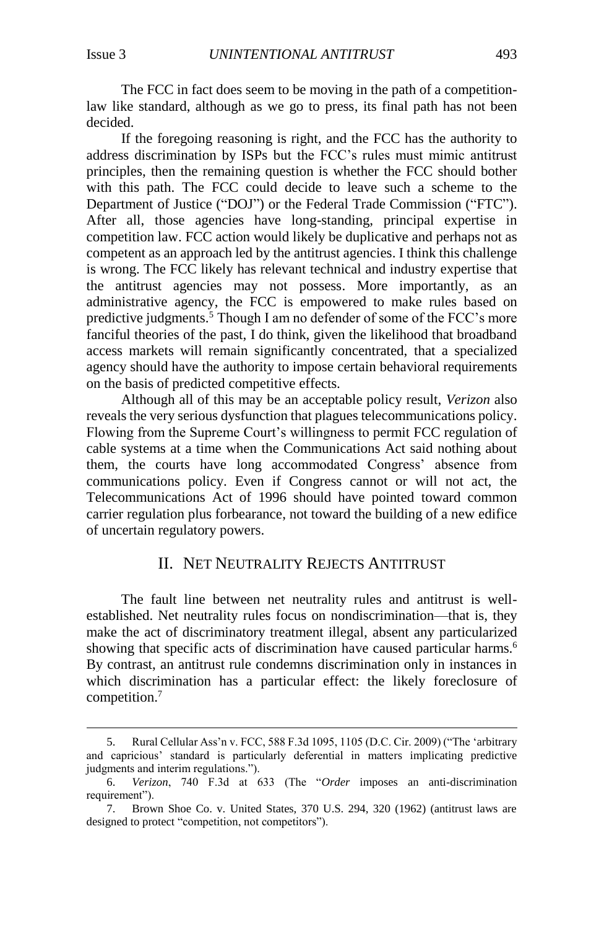$\overline{a}$ 

The FCC in fact does seem to be moving in the path of a competitionlaw like standard, although as we go to press, its final path has not been decided.

If the foregoing reasoning is right, and the FCC has the authority to address discrimination by ISPs but the FCC's rules must mimic antitrust principles, then the remaining question is whether the FCC should bother with this path. The FCC could decide to leave such a scheme to the Department of Justice ("DOJ") or the Federal Trade Commission ("FTC"). After all, those agencies have long-standing, principal expertise in competition law. FCC action would likely be duplicative and perhaps not as competent as an approach led by the antitrust agencies. I think this challenge is wrong. The FCC likely has relevant technical and industry expertise that the antitrust agencies may not possess. More importantly, as an administrative agency, the FCC is empowered to make rules based on predictive judgments.<sup>5</sup> Though I am no defender of some of the FCC's more fanciful theories of the past, I do think, given the likelihood that broadband access markets will remain significantly concentrated, that a specialized agency should have the authority to impose certain behavioral requirements on the basis of predicted competitive effects.

Although all of this may be an acceptable policy result, *Verizon* also reveals the very serious dysfunction that plagues telecommunications policy. Flowing from the Supreme Court's willingness to permit FCC regulation of cable systems at a time when the Communications Act said nothing about them, the courts have long accommodated Congress' absence from communications policy. Even if Congress cannot or will not act, the Telecommunications Act of 1996 should have pointed toward common carrier regulation plus forbearance, not toward the building of a new edifice of uncertain regulatory powers.

#### II. NET NEUTRALITY REJECTS ANTITRUST

The fault line between net neutrality rules and antitrust is wellestablished. Net neutrality rules focus on nondiscrimination—that is, they make the act of discriminatory treatment illegal, absent any particularized showing that specific acts of discrimination have caused particular harms.<sup>6</sup> By contrast, an antitrust rule condemns discrimination only in instances in which discrimination has a particular effect: the likely foreclosure of competition.<sup>7</sup>

<sup>5.</sup> Rural Cellular Ass'n v. FCC, 588 F.3d 1095, 1105 (D.C. Cir. 2009) ("The 'arbitrary and capricious' standard is particularly deferential in matters implicating predictive judgments and interim regulations.").

<sup>6.</sup> *Verizon*, 740 F.3d at 633 (The "*Order* imposes an anti-discrimination requirement").

<sup>7.</sup> Brown Shoe Co. v. United States, 370 U.S. 294, 320 (1962) (antitrust laws are designed to protect "competition, not competitors").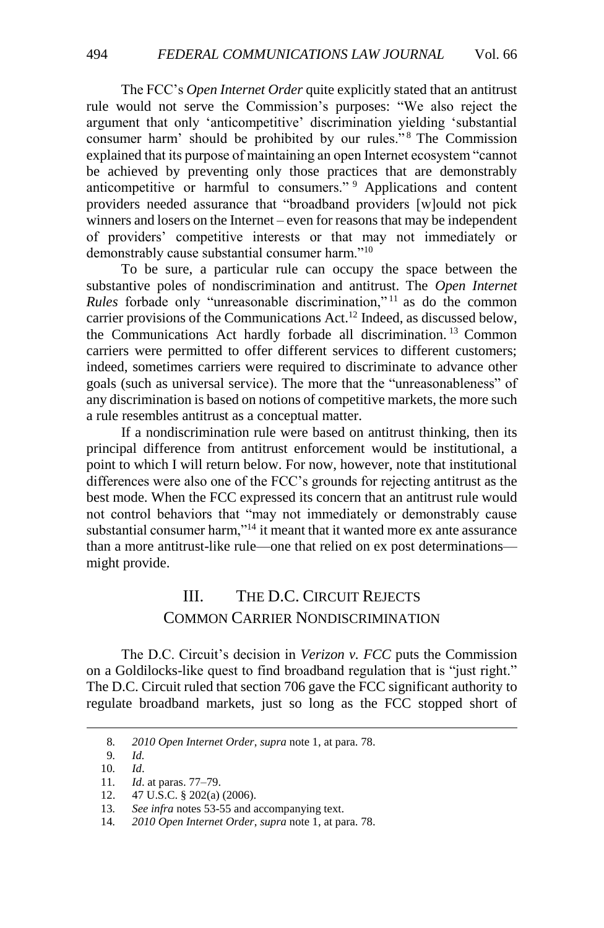The FCC's *Open Internet Order* quite explicitly stated that an antitrust rule would not serve the Commission's purposes: "We also reject the argument that only 'anticompetitive' discrimination yielding 'substantial consumer harm' should be prohibited by our rules."<sup>8</sup> The Commission explained that its purpose of maintaining an open Internet ecosystem "cannot be achieved by preventing only those practices that are demonstrably anticompetitive or harmful to consumers." <sup>9</sup> Applications and content providers needed assurance that "broadband providers [w]ould not pick winners and losers on the Internet – even for reasons that may be independent of providers' competitive interests or that may not immediately or demonstrably cause substantial consumer harm."<sup>10</sup>

To be sure, a particular rule can occupy the space between the substantive poles of nondiscrimination and antitrust. The *Open Internet Rules* forbade only "unreasonable discrimination,"<sup>11</sup> as do the common carrier provisions of the Communications Act.<sup>12</sup> Indeed, as discussed below, the Communications Act hardly forbade all discrimination. <sup>13</sup> Common carriers were permitted to offer different services to different customers; indeed, sometimes carriers were required to discriminate to advance other goals (such as universal service). The more that the "unreasonableness" of any discrimination is based on notions of competitive markets, the more such a rule resembles antitrust as a conceptual matter.

If a nondiscrimination rule were based on antitrust thinking, then its principal difference from antitrust enforcement would be institutional, a point to which I will return below. For now, however, note that institutional differences were also one of the FCC's grounds for rejecting antitrust as the best mode. When the FCC expressed its concern that an antitrust rule would not control behaviors that "may not immediately or demonstrably cause substantial consumer harm,"<sup>14</sup> it meant that it wanted more ex ante assurance than a more antitrust-like rule—one that relied on ex post determinations might provide.

## III. THE D.C. CIRCUIT REJECTS COMMON CARRIER NONDISCRIMINATION

The D.C. Circuit's decision in *Verizon v. FCC* puts the Commission on a Goldilocks-like quest to find broadband regulation that is "just right." The D.C. Circuit ruled that section 706 gave the FCC significant authority to regulate broadband markets, just so long as the FCC stopped short of

<sup>8</sup>*. 2010 Open Internet Order*, *supra* note 1, at para. 78.

<sup>9</sup>*. Id.*

<sup>10</sup>*. Id*.

<sup>11</sup>*. Id*. at paras. 77–79.

<sup>12.</sup> 47 U.S.C. § 202(a) (2006).

<sup>13</sup>*. See infra* notes [53](#page-9-0)[-55](#page-9-1) and accompanying text.

<sup>14</sup>*. 2010 Open Internet Order*, *supra* note 1, at para. 78.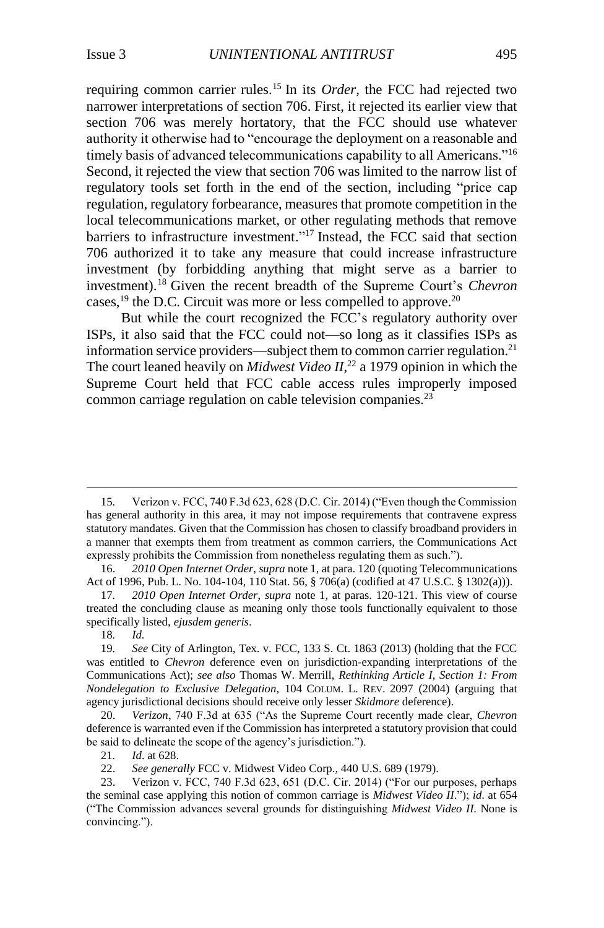requiring common carrier rules.<sup>15</sup> In its *Order*, the FCC had rejected two narrower interpretations of section 706. First, it rejected its earlier view that section 706 was merely hortatory, that the FCC should use whatever authority it otherwise had to "encourage the deployment on a reasonable and timely basis of advanced telecommunications capability to all Americans."<sup>16</sup> Second, it rejected the view that section 706 was limited to the narrow list of regulatory tools set forth in the end of the section, including "price cap regulation, regulatory forbearance, measures that promote competition in the local telecommunications market, or other regulating methods that remove barriers to infrastructure investment." <sup>17</sup> Instead, the FCC said that section 706 authorized it to take any measure that could increase infrastructure investment (by forbidding anything that might serve as a barrier to investment).<sup>18</sup> Given the recent breadth of the Supreme Court's *Chevron* cases,  $^{19}$  the D.C. Circuit was more or less compelled to approve.<sup>20</sup>

But while the court recognized the FCC's regulatory authority over ISPs, it also said that the FCC could not—so long as it classifies ISPs as information service providers—subject them to common carrier regulation.<sup>21</sup> The court leaned heavily on *Midwest Video II*<sup>22</sup> a 1979 opinion in which the Supreme Court held that FCC cable access rules improperly imposed common carriage regulation on cable television companies.<sup>23</sup>

18*. Id.*

<sup>15</sup>*.* Verizon v. FCC, 740 F.3d 623, 628 (D.C. Cir. 2014) ("Even though the Commission has general authority in this area, it may not impose requirements that contravene express statutory mandates. Given that the Commission has chosen to classify broadband providers in a manner that exempts them from treatment as common carriers, the Communications Act expressly prohibits the Commission from nonetheless regulating them as such.").

<sup>16.</sup> *2010 Open Internet Order*, *supra* note 1, at para. 120 (quoting Telecommunications Act of 1996, Pub. L. No. 104-104, 110 Stat. 56, § 706(a) (codified at 47 U.S.C. § 1302(a))).

<sup>17</sup>*. 2010 Open Internet Order*, *supra* note 1, at paras. 120-121. This view of course treated the concluding clause as meaning only those tools functionally equivalent to those specifically listed, *ejusdem generis*.

<sup>19</sup>*. See* City of Arlington, Tex. v. FCC, 133 S. Ct. 1863 (2013) (holding that the FCC was entitled to *Chevron* deference even on jurisdiction-expanding interpretations of the Communications Act); *see also* Thomas W. Merrill, *Rethinking Article I, Section 1: From Nondelegation to Exclusive Delegation*, 104 COLUM. L. REV. 2097 (2004) (arguing that agency jurisdictional decisions should receive only lesser *Skidmore* deference).

<sup>20.</sup> *Verizon*, 740 F.3d at 635 ("As the Supreme Court recently made clear, *Chevron* deference is warranted even if the Commission has interpreted a statutory provision that could be said to delineate the scope of the agency's jurisdiction.").

<sup>21</sup>*. Id*. at 628.

<sup>22.</sup> *See generally* FCC v. Midwest Video Corp., 440 U.S. 689 (1979).

<sup>23.</sup> Verizon v. FCC, 740 F.3d 623, 651 (D.C. Cir. 2014) ("For our purposes, perhaps the seminal case applying this notion of common carriage is *Midwest Video II*."); *id*. at 654 ("The Commission advances several grounds for distinguishing *Midwest Video II*. None is convincing.").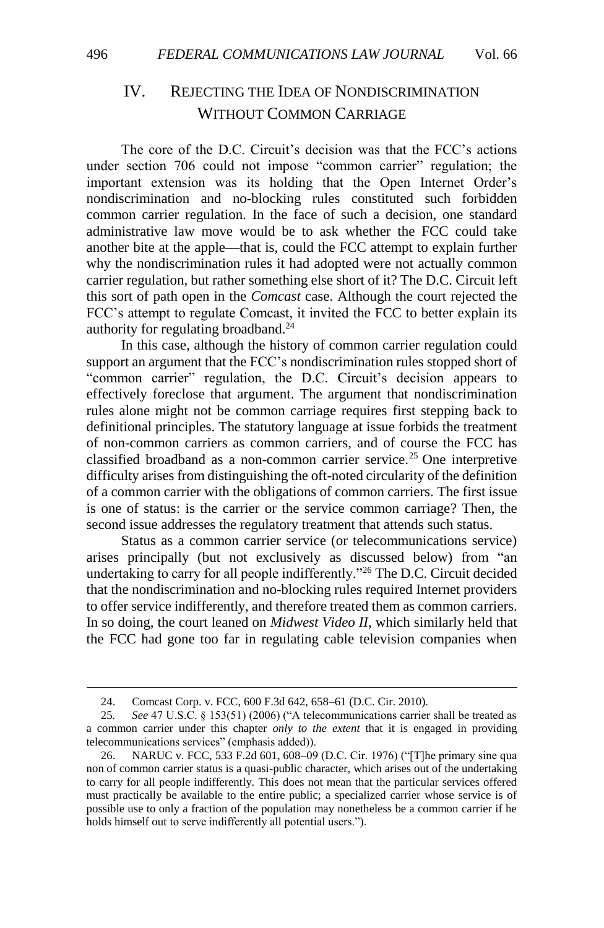### IV. REJECTING THE IDEA OF NONDISCRIMINATION WITHOUT COMMON CARRIAGE

The core of the D.C. Circuit's decision was that the FCC's actions under section 706 could not impose "common carrier" regulation; the important extension was its holding that the Open Internet Order's nondiscrimination and no-blocking rules constituted such forbidden common carrier regulation. In the face of such a decision, one standard administrative law move would be to ask whether the FCC could take another bite at the apple—that is, could the FCC attempt to explain further why the nondiscrimination rules it had adopted were not actually common carrier regulation, but rather something else short of it? The D.C. Circuit left this sort of path open in the *Comcast* case. Although the court rejected the FCC's attempt to regulate Comcast, it invited the FCC to better explain its authority for regulating broadband.<sup>24</sup>

In this case, although the history of common carrier regulation could support an argument that the FCC's nondiscrimination rules stopped short of "common carrier" regulation, the D.C. Circuit's decision appears to effectively foreclose that argument. The argument that nondiscrimination rules alone might not be common carriage requires first stepping back to definitional principles. The statutory language at issue forbids the treatment of non-common carriers as common carriers, and of course the FCC has classified broadband as a non-common carrier service.<sup>25</sup> One interpretive difficulty arises from distinguishing the oft-noted circularity of the definition of a common carrier with the obligations of common carriers. The first issue is one of status: is the carrier or the service common carriage? Then, the second issue addresses the regulatory treatment that attends such status.

Status as a common carrier service (or telecommunications service) arises principally (but not exclusively as discussed below) from "an undertaking to carry for all people indifferently."<sup>26</sup> The D.C. Circuit decided that the nondiscrimination and no-blocking rules required Internet providers to offer service indifferently, and therefore treated them as common carriers. In so doing, the court leaned on *Midwest Video II*, which similarly held that the FCC had gone too far in regulating cable television companies when

<sup>24.</sup> Comcast Corp. v. FCC, 600 F.3d 642, 658–61 (D.C. Cir. 2010).

<sup>25</sup>*. See* 47 U.S.C. § 153(51) (2006) ("A telecommunications carrier shall be treated as a common carrier under this chapter *only to the extent* that it is engaged in providing telecommunications services" (emphasis added)).

<sup>26.</sup> NARUC v. FCC, 533 F.2d 601, 608–09 (D.C. Cir. 1976) ("[T]he primary sine qua non of common carrier status is a quasi-public character, which arises out of the undertaking to carry for all people indifferently. This does not mean that the particular services offered must practically be available to the entire public; a specialized carrier whose service is of possible use to only a fraction of the population may nonetheless be a common carrier if he holds himself out to serve indifferently all potential users.").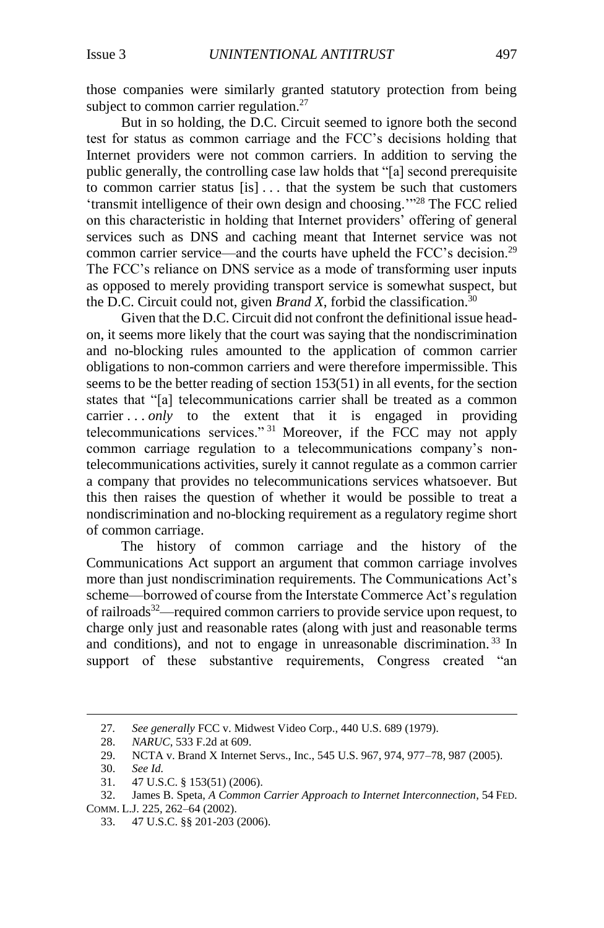those companies were similarly granted statutory protection from being subject to common carrier regulation.<sup>27</sup>

But in so holding, the D.C. Circuit seemed to ignore both the second test for status as common carriage and the FCC's decisions holding that Internet providers were not common carriers. In addition to serving the public generally, the controlling case law holds that "[a] second prerequisite to common carrier status [is] . . . that the system be such that customers 'transmit intelligence of their own design and choosing.'"<sup>28</sup> The FCC relied on this characteristic in holding that Internet providers' offering of general services such as DNS and caching meant that Internet service was not common carrier service—and the courts have upheld the FCC's decision.<sup>29</sup> The FCC's reliance on DNS service as a mode of transforming user inputs as opposed to merely providing transport service is somewhat suspect, but the D.C. Circuit could not, given *Brand X*, forbid the classification.<sup>30</sup>

Given that the D.C. Circuit did not confront the definitional issue headon, it seems more likely that the court was saying that the nondiscrimination and no-blocking rules amounted to the application of common carrier obligations to non-common carriers and were therefore impermissible. This seems to be the better reading of section 153(51) in all events, for the section states that "[a] telecommunications carrier shall be treated as a common carrier . . *only* to the extent that it is engaged in providing telecommunications services." <sup>31</sup> Moreover, if the FCC may not apply common carriage regulation to a telecommunications company's nontelecommunications activities, surely it cannot regulate as a common carrier a company that provides no telecommunications services whatsoever. But this then raises the question of whether it would be possible to treat a nondiscrimination and no-blocking requirement as a regulatory regime short of common carriage.

The history of common carriage and the history of the Communications Act support an argument that common carriage involves more than just nondiscrimination requirements. The Communications Act's scheme—borrowed of course from the Interstate Commerce Act's regulation of railroads<sup>32</sup>—required common carriers to provide service upon request, to charge only just and reasonable rates (along with just and reasonable terms and conditions), and not to engage in unreasonable discrimination.<sup>33</sup> In support of these substantive requirements, Congress created "an

<sup>27</sup>*. See generally* FCC v. Midwest Video Corp., 440 U.S. 689 (1979).

<sup>28.</sup> *NARUC*, 533 F.2d at 609.

<sup>29.</sup> NCTA v. Brand X Internet Servs., Inc., 545 U.S. 967, 974, 977–78, 987 (2005).

<sup>30.</sup> *See Id.*

<sup>31.</sup> 47 U.S.C. § 153(51) (2006).

<sup>32.</sup> James B. Speta, *A Common Carrier Approach to Internet Interconnection*, 54 FED.

COMM. L.J. 225, 262–64 (2002).

<sup>33.</sup> 47 U.S.C. §§ 201-203 (2006).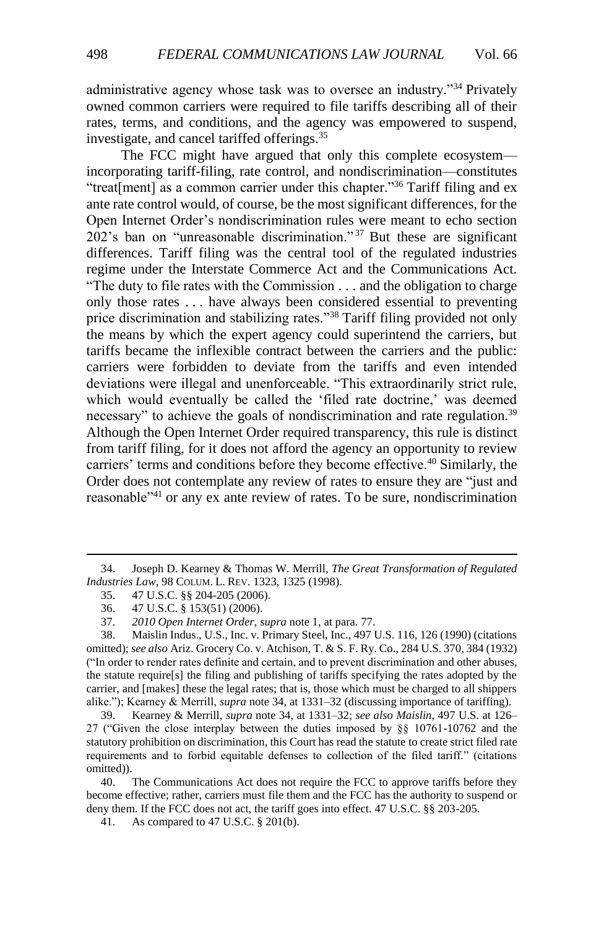<span id="page-7-0"></span>administrative agency whose task was to oversee an industry."<sup>34</sup> Privately owned common carriers were required to file tariffs describing all of their rates, terms, and conditions, and the agency was empowered to suspend, investigate, and cancel tariffed offerings.<sup>35</sup>

The FCC might have argued that only this complete ecosystem incorporating tariff-filing, rate control, and nondiscrimination—constitutes "treat[ment] as a common carrier under this chapter."<sup>36</sup> Tariff filing and ex ante rate control would, of course, be the most significant differences, for the Open Internet Order's nondiscrimination rules were meant to echo section 202's ban on "unreasonable discrimination." <sup>37</sup> But these are significant differences. Tariff filing was the central tool of the regulated industries regime under the Interstate Commerce Act and the Communications Act. "The duty to file rates with the Commission . . . and the obligation to charge only those rates . . . have always been considered essential to preventing price discrimination and stabilizing rates."<sup>38</sup> Tariff filing provided not only the means by which the expert agency could superintend the carriers, but tariffs became the inflexible contract between the carriers and the public: carriers were forbidden to deviate from the tariffs and even intended deviations were illegal and unenforceable. "This extraordinarily strict rule, which would eventually be called the 'filed rate doctrine,' was deemed necessary" to achieve the goals of nondiscrimination and rate regulation.<sup>39</sup> Although the Open Internet Order required transparency, this rule is distinct from tariff filing, for it does not afford the agency an opportunity to review carriers' terms and conditions before they become effective.<sup>40</sup> Similarly, the Order does not contemplate any review of rates to ensure they are "just and reasonable"<sup>41</sup> or any ex ante review of rates. To be sure, nondiscrimination

<sup>34.</sup> Joseph D. Kearney & Thomas W. Merrill, *The Great Transformation of Regulated Industries Law*, 98 COLUM. L. REV. 1323, 1325 (1998).

<sup>35.</sup> 47 U.S.C. §§ 204-205 (2006).

<sup>36.</sup> 47 U.S.C. § 153(51) (2006).

<sup>37.</sup> *2010 Open Internet Order*, *supra* note 1, at para. 77.

<sup>38.</sup> Maislin Indus., U.S., Inc. v. Primary Steel, Inc., 497 U.S. 116, 126 (1990) (citations omitted); *see also* Ariz. Grocery Co. v. Atchison, T. & S. F. Ry. Co., 284 U.S. 370, 384 (1932) ("In order to render rates definite and certain, and to prevent discrimination and other abuses, the statute require[s] the filing and publishing of tariffs specifying the rates adopted by the carrier, and [makes] these the legal rates; that is, those which must be charged to all shippers alike."); Kearney & Merrill, *supra* note [34,](#page-7-0) at 1331–32 (discussing importance of tariffing).

<sup>39.</sup> Kearney & Merrill, *supra* note [34,](#page-7-0) at 1331–32; *see also Maislin*, 497 U.S. at 126– 27 ("Given the close interplay between the duties imposed by §§ 10761-10762 and the statutory prohibition on discrimination, this Court has read the statute to create strict filed rate requirements and to forbid equitable defenses to collection of the filed tariff." (citations omitted)).

<sup>40.</sup> The Communications Act does not require the FCC to approve tariffs before they become effective; rather, carriers must file them and the FCC has the authority to suspend or deny them. If the FCC does not act, the tariff goes into effect. 47 U.S.C. §§ 203-205.

<sup>41.</sup> As compared to 47 U.S.C. § 201(b).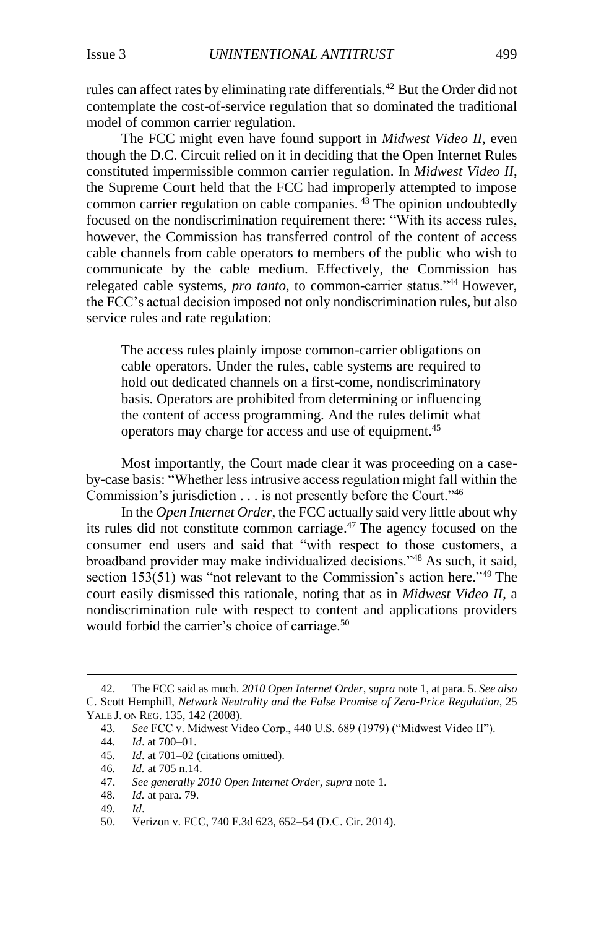rules can affect rates by eliminating rate differentials.<sup>42</sup> But the Order did not contemplate the cost-of-service regulation that so dominated the traditional model of common carrier regulation.

The FCC might even have found support in *Midwest Video II*, even though the D.C. Circuit relied on it in deciding that the Open Internet Rules constituted impermissible common carrier regulation. In *Midwest Video II*, the Supreme Court held that the FCC had improperly attempted to impose common carrier regulation on cable companies.<sup>43</sup> The opinion undoubtedly focused on the nondiscrimination requirement there: "With its access rules, however, the Commission has transferred control of the content of access cable channels from cable operators to members of the public who wish to communicate by the cable medium. Effectively, the Commission has relegated cable systems, *pro tanto*, to common-carrier status."<sup>44</sup> However, the FCC's actual decision imposed not only nondiscrimination rules, but also service rules and rate regulation:

The access rules plainly impose common-carrier obligations on cable operators. Under the rules, cable systems are required to hold out dedicated channels on a first-come, nondiscriminatory basis. Operators are prohibited from determining or influencing the content of access programming. And the rules delimit what operators may charge for access and use of equipment. 45

Most importantly, the Court made clear it was proceeding on a caseby-case basis: "Whether less intrusive access regulation might fall within the Commission's jurisdiction . . . is not presently before the Court."<sup>46</sup>

In the *Open Internet Order*, the FCC actually said very little about why its rules did not constitute common carriage. <sup>47</sup> The agency focused on the consumer end users and said that "with respect to those customers, a broadband provider may make individualized decisions."<sup>48</sup> As such, it said, section 153(51) was "not relevant to the Commission's action here."<sup>49</sup> The court easily dismissed this rationale, noting that as in *Midwest Video II*, a nondiscrimination rule with respect to content and applications providers would forbid the carrier's choice of carriage.<sup>50</sup>

<sup>42.</sup> The FCC said as much. *2010 Open Internet Order*, *supra* note 1, at para. 5. *See also* C. Scott Hemphill, *Network Neutrality and the False Promise of Zero-Price Regulation*, 25 YALE J. ON REG. 135, 142 (2008).

<sup>43.</sup> *See* FCC v. Midwest Video Corp., 440 U.S. 689 (1979) ("Midwest Video II").

<sup>44</sup>*. Id*. at 700–01.

<sup>45</sup>*. Id*. at 701–02 (citations omitted).

<sup>46</sup>*. Id.* at 705 n.14.

<sup>47.</sup> *See generally 2010 Open Internet Order*, *supra* note [1.](#page-1-0)

<sup>48</sup>*. Id.* at para. 79.

<sup>49</sup>*. Id*.

<sup>50.</sup> Verizon v. FCC, 740 F.3d 623, 652–54 (D.C. Cir. 2014).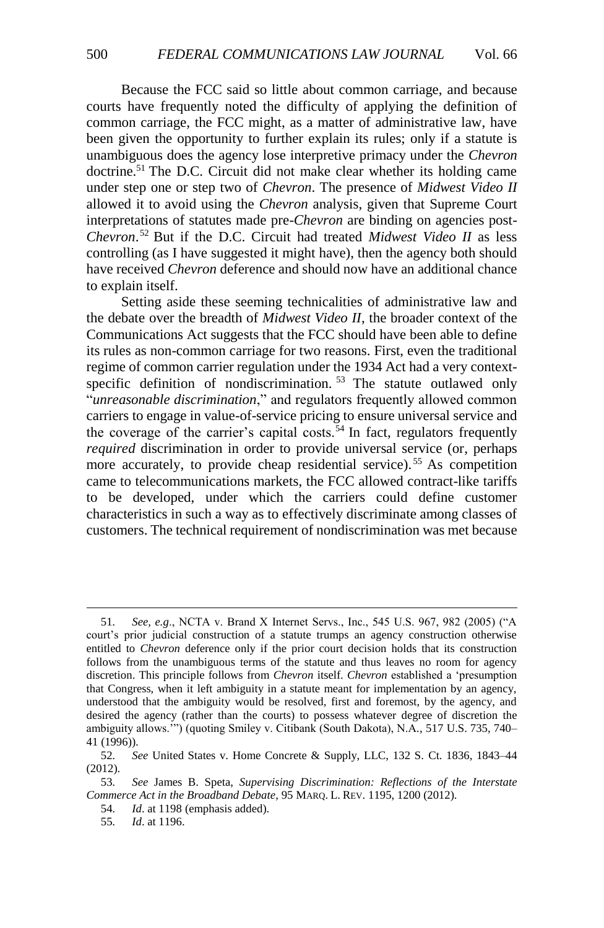Because the FCC said so little about common carriage, and because courts have frequently noted the difficulty of applying the definition of common carriage, the FCC might, as a matter of administrative law, have been given the opportunity to further explain its rules; only if a statute is unambiguous does the agency lose interpretive primacy under the *Chevron*  doctrine.<sup>51</sup> The D.C. Circuit did not make clear whether its holding came under step one or step two of *Chevron*. The presence of *Midwest Video II* allowed it to avoid using the *Chevron* analysis, given that Supreme Court interpretations of statutes made pre-*Chevron* are binding on agencies post-*Chevron*. <sup>52</sup> But if the D.C. Circuit had treated *Midwest Video II* as less controlling (as I have suggested it might have), then the agency both should have received *Chevron* deference and should now have an additional chance to explain itself.

<span id="page-9-0"></span>Setting aside these seeming technicalities of administrative law and the debate over the breadth of *Midwest Video II*, the broader context of the Communications Act suggests that the FCC should have been able to define its rules as non-common carriage for two reasons. First, even the traditional regime of common carrier regulation under the 1934 Act had a very contextspecific definition of nondiscrimination.<sup>53</sup> The statute outlawed only "*unreasonable discrimination*," and regulators frequently allowed common carriers to engage in value-of-service pricing to ensure universal service and the coverage of the carrier's capital costs.<sup>54</sup> In fact, regulators frequently *required* discrimination in order to provide universal service (or, perhaps more accurately, to provide cheap residential service).<sup>55</sup> As competition came to telecommunications markets, the FCC allowed contract-like tariffs to be developed, under which the carriers could define customer characteristics in such a way as to effectively discriminate among classes of customers. The technical requirement of nondiscrimination was met because

<span id="page-9-1"></span><sup>51</sup>*. See, e.g*., NCTA v. Brand X Internet Servs., Inc., 545 U.S. 967, 982 (2005) ("A court's prior judicial construction of a statute trumps an agency construction otherwise entitled to *Chevron* deference only if the prior court decision holds that its construction follows from the unambiguous terms of the statute and thus leaves no room for agency discretion. This principle follows from *Chevron* itself. *Chevron* established a 'presumption that Congress, when it left ambiguity in a statute meant for implementation by an agency, understood that the ambiguity would be resolved, first and foremost, by the agency, and desired the agency (rather than the courts) to possess whatever degree of discretion the ambiguity allows.'") (quoting Smiley v. Citibank (South Dakota), N.A*.*, 517 U.S. 735, 740– 41 (1996)).

<sup>52</sup>*. See* United States v. Home Concrete & Supply, LLC, 132 S. Ct. 1836, 1843–44 (2012).

<sup>53</sup>*. See* James B. Speta, *Supervising Discrimination: Reflections of the Interstate Commerce Act in the Broadband Debate*, 95 MARQ. L. REV. 1195, 1200 (2012).

<sup>54</sup>*. Id*. at 1198 (emphasis added).

<sup>55</sup>*. Id*. at 1196.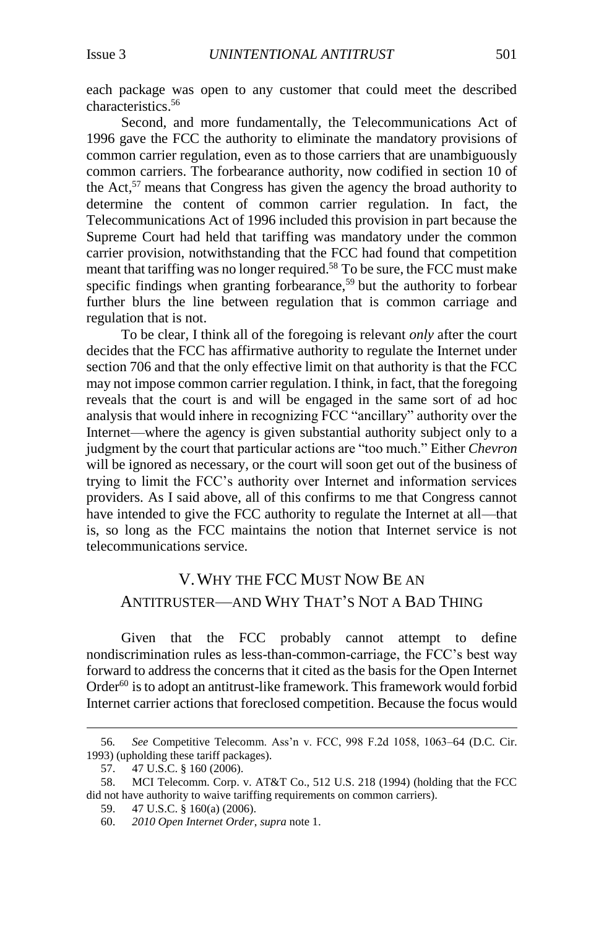each package was open to any customer that could meet the described characteristics. 56

Second, and more fundamentally, the Telecommunications Act of 1996 gave the FCC the authority to eliminate the mandatory provisions of common carrier regulation, even as to those carriers that are unambiguously common carriers. The forbearance authority, now codified in section 10 of the Act,<sup>57</sup> means that Congress has given the agency the broad authority to determine the content of common carrier regulation. In fact, the Telecommunications Act of 1996 included this provision in part because the Supreme Court had held that tariffing was mandatory under the common carrier provision, notwithstanding that the FCC had found that competition meant that tariffing was no longer required.<sup>58</sup> To be sure, the FCC must make specific findings when granting forbearance,<sup>59</sup> but the authority to forbear further blurs the line between regulation that is common carriage and regulation that is not.

To be clear, I think all of the foregoing is relevant *only* after the court decides that the FCC has affirmative authority to regulate the Internet under section 706 and that the only effective limit on that authority is that the FCC may not impose common carrier regulation. I think, in fact, that the foregoing reveals that the court is and will be engaged in the same sort of ad hoc analysis that would inhere in recognizing FCC "ancillary" authority over the Internet—where the agency is given substantial authority subject only to a judgment by the court that particular actions are "too much." Either *Chevron*  will be ignored as necessary, or the court will soon get out of the business of trying to limit the FCC's authority over Internet and information services providers. As I said above, all of this confirms to me that Congress cannot have intended to give the FCC authority to regulate the Internet at all—that is, so long as the FCC maintains the notion that Internet service is not telecommunications service.

## V.WHY THE FCC MUST NOW BE AN ANTITRUSTER—AND WHY THAT'S NOT A BAD THING

Given that the FCC probably cannot attempt to define nondiscrimination rules as less-than-common-carriage, the FCC's best way forward to address the concerns that it cited as the basis for the Open Internet Order<sup>60</sup> is to adopt an antitrust-like framework. This framework would forbid Internet carrier actions that foreclosed competition. Because the focus would

<sup>56</sup>*. See* Competitive Telecomm. Ass'n v. FCC, 998 F.2d 1058, 1063–64 (D.C. Cir. 1993) (upholding these tariff packages).

<sup>57.</sup> 47 U.S.C. § 160 (2006).

<sup>58.</sup> MCI Telecomm. Corp. v. AT&T Co., 512 U.S. 218 (1994) (holding that the FCC did not have authority to waive tariffing requirements on common carriers).

<sup>59.</sup> 47 U.S.C. § 160(a) (2006).

<sup>60.</sup> *2010 Open Internet Order*, *supra* not[e 1.](#page-1-0)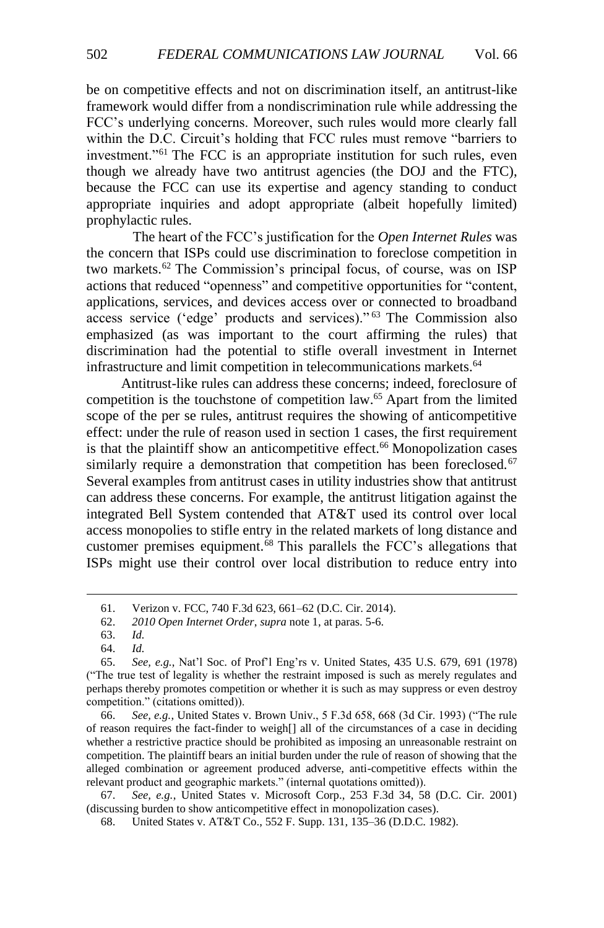be on competitive effects and not on discrimination itself, an antitrust-like framework would differ from a nondiscrimination rule while addressing the FCC's underlying concerns. Moreover, such rules would more clearly fall within the D.C. Circuit's holding that FCC rules must remove "barriers to investment."<sup>61</sup> The FCC is an appropriate institution for such rules, even though we already have two antitrust agencies (the DOJ and the FTC), because the FCC can use its expertise and agency standing to conduct appropriate inquiries and adopt appropriate (albeit hopefully limited) prophylactic rules.

The heart of the FCC's justification for the *Open Internet Rules* was the concern that ISPs could use discrimination to foreclose competition in two markets.<sup>62</sup> The Commission's principal focus, of course, was on ISP actions that reduced "openness" and competitive opportunities for "content, applications, services, and devices access over or connected to broadband access service ('edge' products and services)." <sup>63</sup> The Commission also emphasized (as was important to the court affirming the rules) that discrimination had the potential to stifle overall investment in Internet infrastructure and limit competition in telecommunications markets.<sup>64</sup>

<span id="page-11-0"></span>Antitrust-like rules can address these concerns; indeed, foreclosure of competition is the touchstone of competition law.<sup>65</sup> Apart from the limited scope of the per se rules, antitrust requires the showing of anticompetitive effect: under the rule of reason used in section 1 cases, the first requirement is that the plaintiff show an anticompetitive effect.<sup>66</sup> Monopolization cases similarly require a demonstration that competition has been foreclosed.<sup>67</sup> Several examples from antitrust cases in utility industries show that antitrust can address these concerns. For example, the antitrust litigation against the integrated Bell System contended that AT&T used its control over local access monopolies to stifle entry in the related markets of long distance and customer premises equipment.<sup>68</sup> This parallels the FCC's allegations that ISPs might use their control over local distribution to reduce entry into

 $\overline{a}$ 

66. *See, e.g.*, United States v. Brown Univ., 5 F.3d 658, 668 (3d Cir. 1993) ("The rule of reason requires the fact-finder to weigh[] all of the circumstances of a case in deciding whether a restrictive practice should be prohibited as imposing an unreasonable restraint on competition. The plaintiff bears an initial burden under the rule of reason of showing that the alleged combination or agreement produced adverse, anti-competitive effects within the relevant product and geographic markets." (internal quotations omitted)).

67. *See, e.g.*, United States v. Microsoft Corp., 253 F.3d 34, 58 (D.C. Cir. 2001) (discussing burden to show anticompetitive effect in monopolization cases).

68. United States v. AT&T Co., 552 F. Supp. 131, 135–36 (D.D.C. 1982).

<sup>61.</sup> Verizon v. FCC, 740 F.3d 623, 661–62 (D.C. Cir. 2014).

<sup>62.</sup> *2010 Open Internet Order*, *supra* note 1, at paras. 5-6.

<sup>63.</sup> *Id.* 

<sup>64.</sup> *Id.*

<sup>65.</sup> *See, e.g.*, Nat'l Soc. of Prof'l Eng'rs v. United States, 435 U.S. 679, 691 (1978) ("The true test of legality is whether the restraint imposed is such as merely regulates and perhaps thereby promotes competition or whether it is such as may suppress or even destroy competition." (citations omitted)).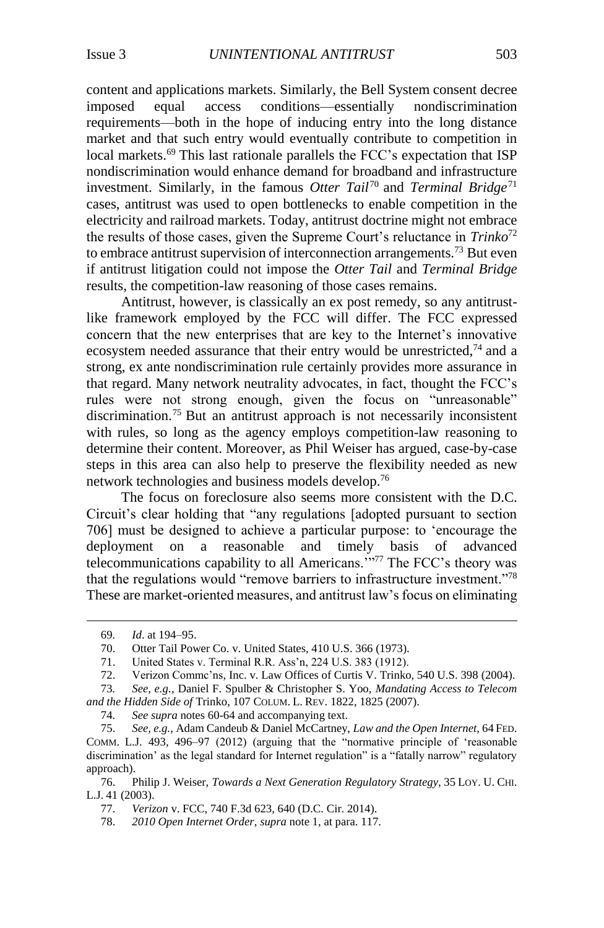content and applications markets. Similarly, the Bell System consent decree imposed equal access conditions—essentially nondiscrimination requirements—both in the hope of inducing entry into the long distance market and that such entry would eventually contribute to competition in local markets.<sup>69</sup> This last rationale parallels the FCC's expectation that ISP nondiscrimination would enhance demand for broadband and infrastructure investment. Similarly, in the famous *Otter Tail*<sup>70</sup> and *Terminal Bridge*<sup>71</sup> cases, antitrust was used to open bottlenecks to enable competition in the electricity and railroad markets. Today, antitrust doctrine might not embrace the results of those cases, given the Supreme Court's reluctance in *Trinko*<sup>72</sup> to embrace antitrust supervision of interconnection arrangements.<sup>73</sup> But even if antitrust litigation could not impose the *Otter Tail* and *Terminal Bridge* results, the competition-law reasoning of those cases remains.

Antitrust, however, is classically an ex post remedy, so any antitrustlike framework employed by the FCC will differ. The FCC expressed concern that the new enterprises that are key to the Internet's innovative ecosystem needed assurance that their entry would be unrestricted,  $74$  and a strong, ex ante nondiscrimination rule certainly provides more assurance in that regard. Many network neutrality advocates, in fact, thought the FCC's rules were not strong enough, given the focus on "unreasonable" discrimination.<sup>75</sup> But an antitrust approach is not necessarily inconsistent with rules, so long as the agency employs competition-law reasoning to determine their content. Moreover, as Phil Weiser has argued, case-by-case steps in this area can also help to preserve the flexibility needed as new network technologies and business models develop.<sup>76</sup>

The focus on foreclosure also seems more consistent with the D.C. Circuit's clear holding that "any regulations [adopted pursuant to section 706] must be designed to achieve a particular purpose: to 'encourage the deployment on a reasonable and timely basis of advanced telecommunications capability to all Americans.'"<sup>77</sup> The FCC's theory was that the regulations would "remove barriers to infrastructure investment."<sup>78</sup> These are market-oriented measures, and antitrust law's focus on eliminating

 $\overline{a}$ 

73*. See, e.g.*, Daniel F. Spulber & Christopher S. Yoo, *Mandating Access to Telecom and the Hidden Side of* Trinko, 107 COLUM. L. REV. 1822, 1825 (2007).

74*. See supra* notes 60[-64](#page-11-0) and accompanying text.

76. Philip J. Weiser, *Towards a Next Generation Regulatory Strategy*, 35 LOY. U. CHI. L.J. 41 (2003).

<sup>69</sup>*. Id*. at 194–95.

<sup>70.</sup> Otter Tail Power Co. v. United States, 410 U.S. 366 (1973).

<sup>71.</sup> United States v. Terminal R.R. Ass'n, 224 U.S. 383 (1912).

<sup>72.</sup> Verizon Commc'ns, Inc. v. Law Offices of Curtis V. Trinko, 540 U.S. 398 (2004).

<sup>75.</sup> *See, e.g.*, Adam Candeub & Daniel McCartney, *Law and the Open Internet*, 64 FED. COMM. L.J. 493, 496–97 (2012) (arguing that the "normative principle of 'reasonable discrimination' as the legal standard for Internet regulation" is a "fatally narrow" regulatory approach).

<sup>77.</sup> *Verizon* v. FCC, 740 F.3d 623, 640 (D.C. Cir. 2014).

<sup>78.</sup> *2010 Open Internet Order*, *supra* not[e 1,](#page-1-0) at para. 117.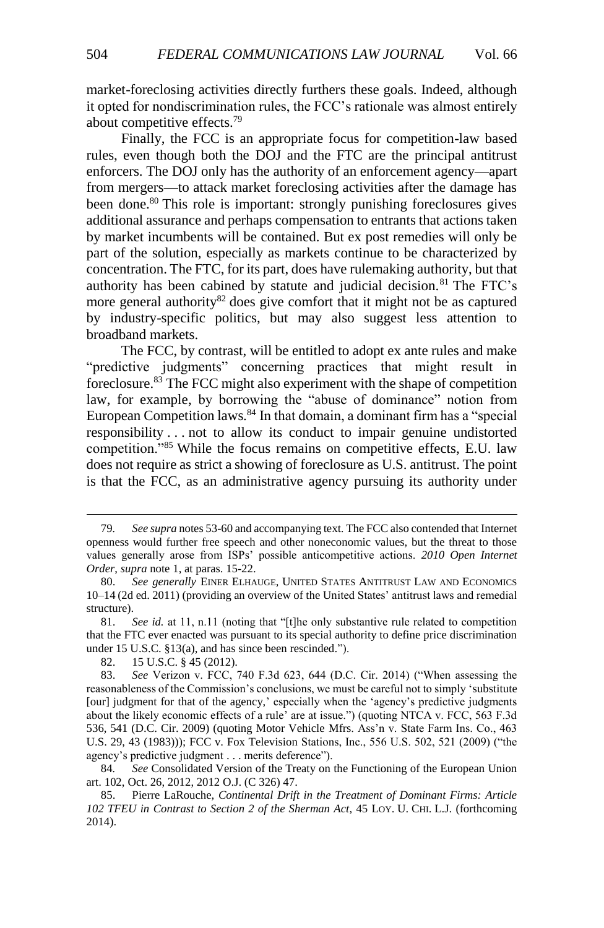market-foreclosing activities directly furthers these goals. Indeed, although it opted for nondiscrimination rules, the FCC's rationale was almost entirely about competitive effects.<sup>79</sup>

Finally, the FCC is an appropriate focus for competition-law based rules, even though both the DOJ and the FTC are the principal antitrust enforcers. The DOJ only has the authority of an enforcement agency—apart from mergers—to attack market foreclosing activities after the damage has been done.<sup>80</sup> This role is important: strongly punishing foreclosures gives additional assurance and perhaps compensation to entrants that actions taken by market incumbents will be contained. But ex post remedies will only be part of the solution, especially as markets continue to be characterized by concentration. The FTC, for its part, does have rulemaking authority, but that authority has been cabined by statute and judicial decision.<sup>81</sup> The FTC's more general authority<sup>82</sup> does give comfort that it might not be as captured by industry-specific politics, but may also suggest less attention to broadband markets.

The FCC, by contrast, will be entitled to adopt ex ante rules and make "predictive judgments" concerning practices that might result in foreclosure.<sup>83</sup> The FCC might also experiment with the shape of competition law, for example, by borrowing the "abuse of dominance" notion from European Competition laws.<sup>84</sup> In that domain, a dominant firm has a "special responsibility . . . not to allow its conduct to impair genuine undistorted competition."<sup>85</sup> While the focus remains on competitive effects, E.U. law does not require as strict a showing of foreclosure as U.S. antitrust. The point is that the FCC, as an administrative agency pursuing its authority under

<sup>79</sup>*. See supra* notes 53-60 and accompanying text. The FCC also contended that Internet openness would further free speech and other noneconomic values, but the threat to those values generally arose from ISPs' possible anticompetitive actions. *2010 Open Internet Order*, *supra* note [1,](#page-1-0) at paras. 15-22.

<sup>80.</sup> *See generally* EINER ELHAUGE, UNITED STATES ANTITRUST LAW AND ECONOMICS 10–14 (2d ed. 2011) (providing an overview of the United States' antitrust laws and remedial structure).

<sup>81.</sup> *See id.* at 11, n.11 (noting that "[t]he only substantive rule related to competition that the FTC ever enacted was pursuant to its special authority to define price discrimination under 15 U.S.C. §13(a), and has since been rescinded.").

<sup>82.</sup> 15 U.S.C. § 45 (2012).

<sup>83.</sup> *See* Verizon v. FCC, 740 F.3d 623, 644 (D.C. Cir. 2014) ("When assessing the reasonableness of the Commission's conclusions, we must be careful not to simply 'substitute [our] judgment for that of the agency,' especially when the 'agency's predictive judgments about the likely economic effects of a rule' are at issue.") (quoting NTCA v. FCC, 563 F.3d 536, 541 (D.C. Cir. 2009) (quoting Motor Vehicle Mfrs. Ass'n v. State Farm Ins. Co., 463 U.S. 29, 43 (1983))); FCC v. Fox Television Stations, Inc., 556 U.S. 502, 521 (2009) ("the agency's predictive judgment . . . merits deference").

<sup>84</sup>*. See* Consolidated Version of the Treaty on the Functioning of the European Union art. 102, Oct. 26, 2012, 2012 O.J. (C 326) 47.

<sup>85.</sup> Pierre LaRouche, *Continental Drift in the Treatment of Dominant Firms: Article 102 TFEU in Contrast to Section 2 of the Sherman Act*, 45 LOY. U. CHI. L.J. (forthcoming 2014).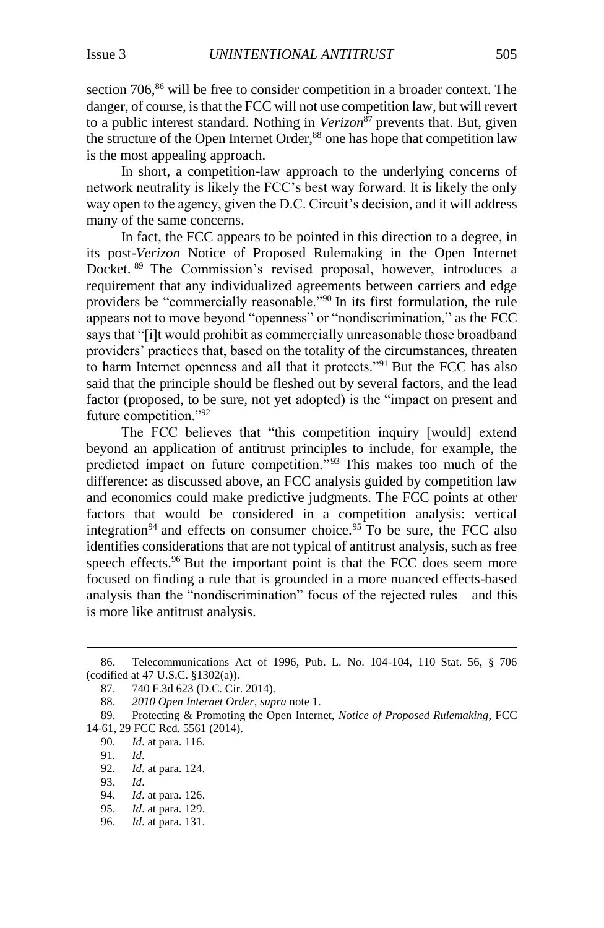section 706,<sup>86</sup> will be free to consider competition in a broader context. The danger, of course, is that the FCC will not use competition law, but will revert to a public interest standard. Nothing in *Verizon*<sup>87</sup> prevents that. But, given the structure of the Open Internet Order,<sup>88</sup> one has hope that competition law is the most appealing approach.

In short, a competition-law approach to the underlying concerns of network neutrality is likely the FCC's best way forward. It is likely the only way open to the agency, given the D.C. Circuit's decision, and it will address many of the same concerns.

In fact, the FCC appears to be pointed in this direction to a degree, in its post-*Verizon* Notice of Proposed Rulemaking in the Open Internet Docket. <sup>89</sup> The Commission's revised proposal, however, introduces a requirement that any individualized agreements between carriers and edge providers be "commercially reasonable."<sup>90</sup> In its first formulation, the rule appears not to move beyond "openness" or "nondiscrimination," as the FCC says that "[i]t would prohibit as commercially unreasonable those broadband providers' practices that, based on the totality of the circumstances, threaten to harm Internet openness and all that it protects."<sup>91</sup> But the FCC has also said that the principle should be fleshed out by several factors, and the lead factor (proposed, to be sure, not yet adopted) is the "impact on present and future competition."<sup>92</sup>

The FCC believes that "this competition inquiry [would] extend beyond an application of antitrust principles to include, for example, the predicted impact on future competition.<sup>"93</sup> This makes too much of the difference: as discussed above, an FCC analysis guided by competition law and economics could make predictive judgments. The FCC points at other factors that would be considered in a competition analysis: vertical integration<sup>94</sup> and effects on consumer choice.<sup>95</sup> To be sure, the FCC also identifies considerations that are not typical of antitrust analysis, such as free speech effects.<sup>96</sup> But the important point is that the FCC does seem more focused on finding a rule that is grounded in a more nuanced effects-based analysis than the "nondiscrimination" focus of the rejected rules—and this is more like antitrust analysis.

<sup>86.</sup> Telecommunications Act of 1996, Pub. L. No. 104-104, 110 Stat. 56, § 706 (codified at 47 U.S.C. §1302(a)).

<sup>87.</sup> 740 F.3d 623 (D.C. Cir. 2014).

<sup>88.</sup> *2010 Open Internet Order*, *supra* note 1.

<sup>89.</sup> Protecting & Promoting the Open Internet, *Notice of Proposed Rulemaking*, FCC 14-61, 29 FCC Rcd. 5561 (2014).

<sup>90.</sup> *Id*. at para. 116.

<sup>91.</sup> *Id*.

*Id.* at para. 124.

<sup>93.</sup> *Id*.

<sup>94.</sup> *Id*. at para. 126.

<sup>95.</sup> *Id*. at para. 129.

<sup>96.</sup> *Id*. at para. 131.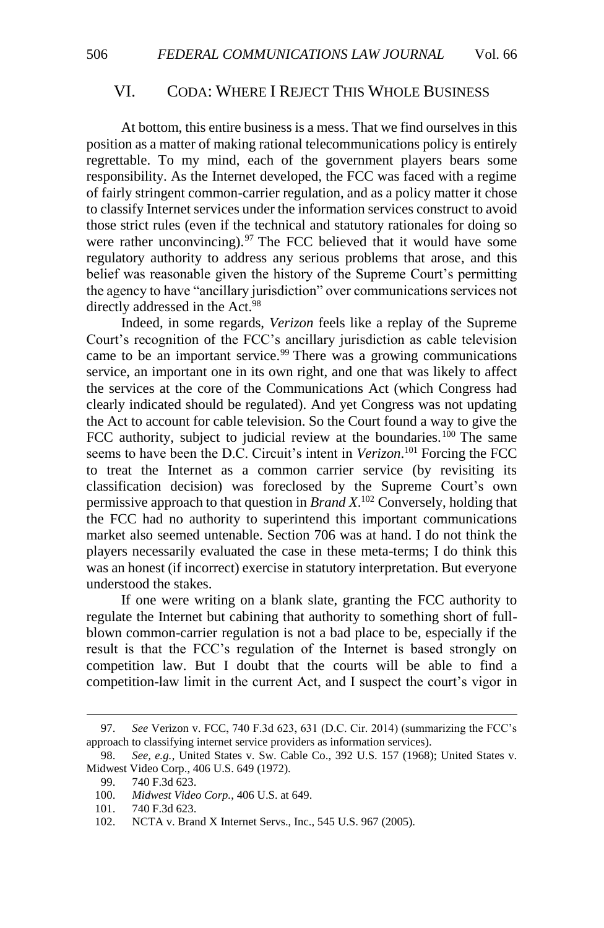#### VI. CODA: WHERE I REJECT THIS WHOLE BUSINESS

At bottom, this entire business is a mess. That we find ourselves in this position as a matter of making rational telecommunications policy is entirely regrettable. To my mind, each of the government players bears some responsibility. As the Internet developed, the FCC was faced with a regime of fairly stringent common-carrier regulation, and as a policy matter it chose to classify Internet services under the information services construct to avoid those strict rules (even if the technical and statutory rationales for doing so were rather unconvincing). $97$  The FCC believed that it would have some regulatory authority to address any serious problems that arose, and this belief was reasonable given the history of the Supreme Court's permitting the agency to have "ancillary jurisdiction" over communications services not directly addressed in the Act.<sup>98</sup>

Indeed, in some regards, *Verizon* feels like a replay of the Supreme Court's recognition of the FCC's ancillary jurisdiction as cable television came to be an important service. $99$  There was a growing communications service, an important one in its own right, and one that was likely to affect the services at the core of the Communications Act (which Congress had clearly indicated should be regulated). And yet Congress was not updating the Act to account for cable television. So the Court found a way to give the FCC authority, subject to judicial review at the boundaries.<sup>100</sup> The same seems to have been the D.C. Circuit's intent in *Verizon*. <sup>101</sup> Forcing the FCC to treat the Internet as a common carrier service (by revisiting its classification decision) was foreclosed by the Supreme Court's own permissive approach to that question in *Brand X*. <sup>102</sup> Conversely, holding that the FCC had no authority to superintend this important communications market also seemed untenable. Section 706 was at hand. I do not think the players necessarily evaluated the case in these meta-terms; I do think this was an honest (if incorrect) exercise in statutory interpretation. But everyone understood the stakes.

If one were writing on a blank slate, granting the FCC authority to regulate the Internet but cabining that authority to something short of fullblown common-carrier regulation is not a bad place to be, especially if the result is that the FCC's regulation of the Internet is based strongly on competition law. But I doubt that the courts will be able to find a competition-law limit in the current Act, and I suspect the court's vigor in

<sup>97.</sup> *See* Verizon v. FCC, 740 F.3d 623, 631 (D.C. Cir. 2014) (summarizing the FCC's approach to classifying internet service providers as information services).

<sup>98.</sup> *See, e.g.*, United States v. Sw. Cable Co., 392 U.S. 157 (1968); United States v. Midwest Video Corp., 406 U.S. 649 (1972).

<sup>99.</sup> 740 F.3d 623.

<sup>100.</sup> *Midwest Video Corp.*, 406 U.S. at 649.

<sup>101.</sup> 740 F.3d 623.

<sup>102.</sup> NCTA v. Brand X Internet Servs., Inc., 545 U.S. 967 (2005).